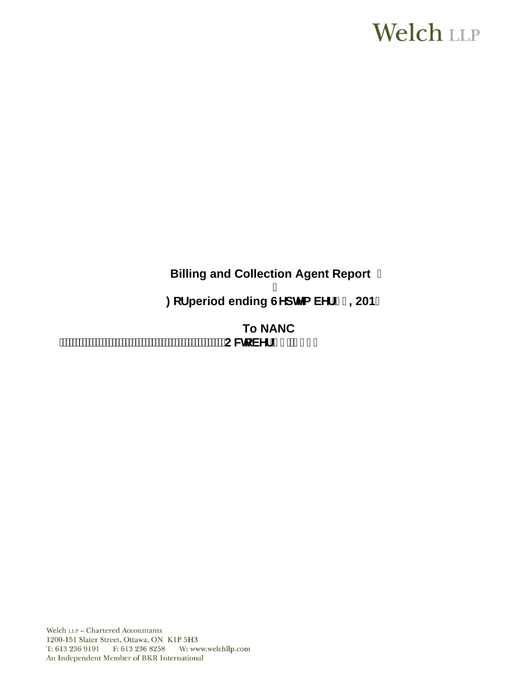# **Welch LLP**

# **Billing and Collection Agent Report**

## Ī **2018** : cf period ending GYdhYa VYf ' \$, 2018

**To NANC 2FWREHU**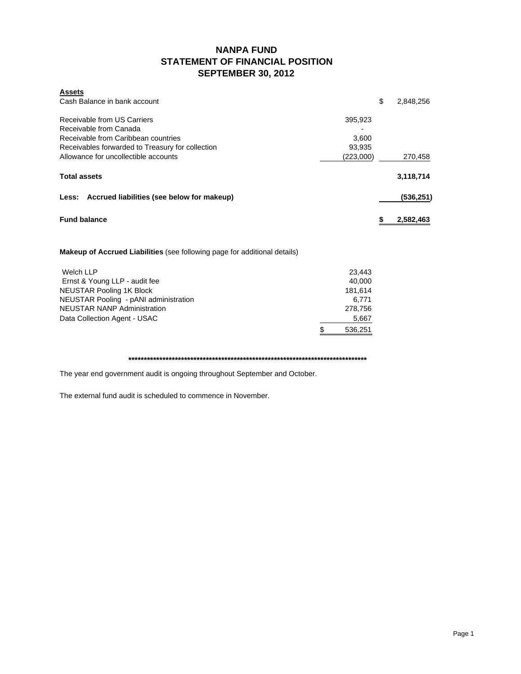### **NANPA FUND STATEMENT OF FINANCIAL POSITION SEPTEMBER 30, 2012**

| <b>Assets</b>                                    |           |           |
|--------------------------------------------------|-----------|-----------|
| Cash Balance in bank account                     | \$        | 2,848,256 |
| Receivable from US Carriers                      | 395,923   |           |
| Receivable from Canada                           |           |           |
| Receivable from Caribbean countries              | 3.600     |           |
| Receivables forwarded to Treasury for collection | 93,935    |           |
| Allowance for uncollectible accounts             | (223,000) | 270,458   |
| <b>Total assets</b>                              |           | 3,118,714 |
| Less: Accrued liabilities (see below for makeup) |           | (536,251) |
| <b>Fund balance</b>                              | S         | 2,582,463 |
|                                                  |           |           |

**Makeup of Accrued Liabilities** (see following page for additional details)

| Welch LLP                             | 23.443       |
|---------------------------------------|--------------|
| Ernst & Young LLP - audit fee         | 40.000       |
| NEUSTAR Pooling 1K Block              | 181.614      |
| NEUSTAR Pooling - pANI administration | 6.771        |
| <b>NEUSTAR NANP Administration</b>    | 278.756      |
| Data Collection Agent - USAC          | 5,667        |
|                                       | 536,251<br>S |
|                                       |              |

**\*\*\*\*\*\*\*\*\*\*\*\*\*\*\*\*\*\*\*\*\*\*\*\*\*\*\*\*\*\*\*\*\*\*\*\*\*\*\*\*\*\*\*\*\*\*\*\*\*\*\*\*\*\*\*\*\*\*\*\*\*\*\*\*\*\*\*\*\*\*\*\*\*\*\*\*\***

The year end government audit is ongoing throughout September and October.

The external fund audit is scheduled to commence in November.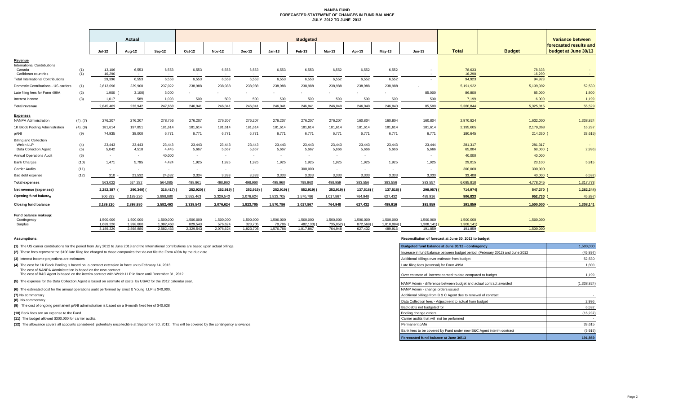#### **NANPA FUND FORECASTED STATEMENT OF CHANGES IN FUND BALANCE JULY 2012 TO JUNE 2013**

|                                               |            | Actual                 |                        |                        | <b>Budgeted</b>      |                      |                      |                     |                       |                          |                     |                       |                          |                      |                     | Variance between                               |
|-----------------------------------------------|------------|------------------------|------------------------|------------------------|----------------------|----------------------|----------------------|---------------------|-----------------------|--------------------------|---------------------|-----------------------|--------------------------|----------------------|---------------------|------------------------------------------------|
|                                               |            | <b>Jul-12</b>          | Aug-12                 | Sep-12                 | Oct-12               | <b>Nov-12</b>        | <b>Dec-12</b>        | $Jan-13$            | Feb-13                | Mar-13                   | Apr-13              | $May-13$              | Jun-13                   | <b>Total</b>         | <b>Budget</b>       | forecasted results and<br>budget at June 30/13 |
| Revenue<br><b>International Contributions</b> |            |                        |                        |                        |                      |                      |                      |                     |                       |                          |                     |                       |                          |                      |                     |                                                |
| Canada<br>Caribbean countries                 | (1)<br>(1) | 13,106<br>16.290       | 6,553<br>$\sim$        | 6,553<br>$\sim$        | 6,553<br>$\sim$      | 6,553<br>$\sim$      | 6,553<br>$\sim$      | 6,553<br>$\sim$     | 6,553<br>$\sim$       | 6,552<br>$\sim$          | 6,552<br>$\sim$     | 6,552<br>$\sim$       | $\sim$                   | 78,633<br>16,290     | 78,633<br>16,290    | $\sim$                                         |
| <b>Total International Contributions</b>      |            | 29,396                 | 6,553                  | 6,553                  | 6,553                | 6,553                | 6,553                | 6,553               | 6,553                 | 6,552                    | 6,552               | 6,552                 |                          | 94,923               | 94,923              |                                                |
| Domestic Contributions - US carriers          | (1)        | 2,813,096              | 229,900                | 237,022                | 238,988              | 238,988              | 238,988              | 238,988             | 238,988               | 238,988                  | 238,988             | 238,988               |                          | 5,191,922            | 5,139,392           | 52,530                                         |
| Late filing fees for Form 499A                | (2)        | 1,900                  | 3,100                  | 3,000                  |                      |                      |                      |                     |                       |                          |                     |                       | 85,000                   | 86,800               | 85,000              | 1,800                                          |
| Interest income                               | (3)        | 1,017                  | 589                    | 1.093                  | 500                  | 500                  | 500                  | 500                 | 500                   | 500                      | 500                 | 500                   | 500                      | 7.199                | 6,000               | 1,199                                          |
| <b>Total revenue</b>                          |            | 2,845,409              | 233,942                | 247,668                | 246,041              | 246.041              | 246,041              | 246,041             | 246,041               | 246,040                  | 246,040             | 246,040               | 85,500                   | 5,380,844            | 5,325,315           | 55,529                                         |
| <b>Expenses</b>                               |            |                        |                        |                        |                      |                      |                      |                     |                       |                          |                     |                       |                          |                      |                     |                                                |
| <b>NANPA Administration</b>                   | (4), (7)   | 276,207                | 276,207                | 278,756                | 276,207              | 276,207              | 276,207              | 276,207             | 276,207               | 276,207                  | 160,804             | 160,804               | 160,804                  | 2,970,824            | 1,632,000           | 1,338,824                                      |
| 1K Block Pooling Administration               | (4), (8)   | 181,614                | 197,851                | 181,614                | 181.614              | 181,614              | 181,614              | 181,614             | 181,614               | 181,614                  | 181,614             | 181,614               | 181,614                  | 2,195,605            | 2,179,368           | 16,237                                         |
| pANI                                          | (9)        | 74,935                 | 38,000                 | 6,771                  | 6,771                | 6,771                | 6,771                | 6,771               | 6.771                 | 6,771                    | 6,771               | 6,771                 | 6,771                    | 180,645              | $214,260$ (         | 33,615)                                        |
| <b>Billing and Collection</b>                 |            |                        |                        |                        |                      |                      |                      |                     |                       |                          |                     |                       |                          |                      |                     |                                                |
| Welch LLP<br>Data Collection Agent            | (4)<br>(5) | 23,443<br>5,042        | 23,443<br>4,518        | 23,443<br>4,445        | 23,443<br>5,667      | 23,443<br>5,667      | 23,443<br>5,667      | 23,443<br>5,667     | 23,443<br>5,667       | 23,443<br>5,666          | 23,443<br>5,666     | 23,443<br>5,666       | 23,444<br>5,666          | 281,317<br>65,004    | 281,317<br>68,000 ( | 2,996                                          |
| <b>Annual Operations Audit</b>                | (6)        | $\sim$                 | $\sim$                 | 40,000                 | $\sim$               | $\sim$               | $\sim$               | $\sim$              | $\sim$                | $\overline{\phantom{a}}$ | $\sim$              |                       | $\overline{\phantom{a}}$ | 40,000               | 40,000              |                                                |
| <b>Bank Charges</b>                           | (10)       | 1.471                  | 5.795                  | 4.424                  | 1.925                | 1.925                | 1.925                | 1.925               | 1.925                 | 1.925                    | 1.925               | 1.925                 | 1,925                    | 29,015               | 23,100              | 5,915                                          |
| <b>Carrier Audits</b>                         | (11)       | $\sim$                 | ۰.                     |                        | $\sim$               | $\sim$               |                      | $\sim$              | 300,000               | $\overline{\phantom{a}}$ | $\sim$              | . .                   | ٠.                       | 300,000              | 300,000             |                                                |
| Bad debt expense                              | (12)       | 310                    | 21.532                 | 24.632                 | 3.334                | 3.333                | 3.333                | 3,333               | 3.333                 | 3.333                    | 3.333               | 3,333                 | 3,333                    | 33,408               | 40,000              | 6,592                                          |
| <b>Total expenses</b>                         |            | 563,022                | 524,282                | 564,085                | 498,961              | 498,960              | 498,960              | 498,960             | 798,960               | 498,959                  | 383,556             | 383,556               | 383,557                  | 6,095,818            | 4,778,045           | 1,317,773                                      |
| Net revenue (expenses)                        |            | 2,282,387              | 290,340)               | 316,417)               | 252,920)             | 252,919)             | 252,919)             | 252,919)            | 552,919)              | 252,919)                 | 137,516) (          | 137,516) (            | 298,057) (               | 714,974)             | 547,270 (           | 1,262,244)                                     |
| Opening fund balance                          |            | 906,833                | 3,189,220              | 2,898,880              | 2,582,463            | 2,329,543            | 2,076,624            | 1,823,705           | 1,570,786             | 1,017,867                | 764,948             | 627,432               | 489,916                  | 906,833              | 952,730             | 45,897                                         |
| <b>Closing fund balance</b>                   |            | 3,189,220              | 2.898.880              | 2,582,463              | 2,329,543            | 2,076,624            | 1,823,705            | 1,570,786           | 1,017,867             | 764,948                  | 627,432             | 489,916               | 191,859                  | 191,859              | 1.500.000           | 1,308,141                                      |
| Fund balance makeup:                          |            |                        |                        |                        |                      |                      |                      |                     |                       |                          |                     |                       |                          |                      |                     |                                                |
| Contingency                                   |            | 1,500,000              | 1.500.000              | 1,500,000              | 1,500,000<br>829.543 | 1,500,000<br>576.624 | 1,500,000<br>323,705 | 1,500,000           | 1,500,000             | 1,500,000                | 1,500,000           | 1,500,000             | 1,500,000                | 1,500,000            | 1,500,000           |                                                |
| Surplus                                       |            | 1.689.220<br>3.189.220 | 1.398.880<br>2.898.880 | 1.082.463<br>2.582.463 | 2.329.543            | 2.076.624            | 1.823.705            | 70.786<br>1.570.786 | 482.133)<br>1.017.867 | 735,052)<br>764.948      | 872.568)<br>627.432 | 1,010,084)<br>489,916 | 1,308,141)<br>191.859    | 1,308,141<br>191.859 | $\sim$<br>1.500.000 |                                                |

**(8)** No commentary

#### **Assumptions: Reconciliation of forecast at June 30, 2013 to budget**

| (1) The US carrier contributions for the period from July 2012 to June 2013 and the International contributions are based upon actual billings.                           | Budgeted fund balance at June 30/13 - contingency                            | 1,500,000   |
|---------------------------------------------------------------------------------------------------------------------------------------------------------------------------|------------------------------------------------------------------------------|-------------|
| (2) These fees represent the \$100 late filing fee charged to those companies that do not file the Form 499A by the due date.                                             | Increase in fund balance between budget period (February 2012) and June 2012 | (45, 897)   |
| (3) Interest income projections are estimates                                                                                                                             | Additional billings over estimate from budget                                | 52,530      |
| (4) The cost for 1K Block Pooling is based on a contract extension in force up to February 14, 2013.                                                                      | Late filing fees (reversal) for Form 499A                                    | 1,800       |
| The cost of NANPA Administration is based on the new contract.<br>The cost of B&C Agent is based on the interim contract with Welch LLP in force until December 31, 2012. | Over estimate of interest earned to date compared to budget                  | 1,199       |
| (5) The expense for the Data Collection Agent is based on estimate of costs by USAC for the 2012 calendar year.                                                           | NANP Admin - difference between budget and actual contract awarded           | (1.338.824) |
| (6) The estimated cost for the annual operations audit performed by Ernst & Young LLP is \$40,000.                                                                        | NANP Admin - change orders issued                                            |             |
| (7) No commentary                                                                                                                                                         | Additional billings from B & C Agent due to renewal of contract              |             |
| (8) No commentary                                                                                                                                                         | Data Collection fees - Adiustment to actual from budget                      | 2,996       |
| (9) The cost of ongoing permanent pANI administration is based on a 6-month fixed fee of \$40,628                                                                         | Bad debts not budgeted for                                                   | 6.592       |
| (10) Bank fees are an expense to the Fund.                                                                                                                                | Pooling change orders                                                        | (16, 237)   |
| (11) The budget allowed \$300,000 for carrier audits.                                                                                                                     | Carrier audits that will not be performed                                    |             |
| (12) The allowance covers all accounts considered potentially uncollectible at September 30, 2012. This will be covered by the contingency allowance.                     | Permanent pANi                                                               | 33,615      |
|                                                                                                                                                                           | Bank fees to be covered by Fund under new B&C Agent interim contract         | (5,915)     |
|                                                                                                                                                                           | Forecasted fund balance at June 30/13                                        | 191,859     |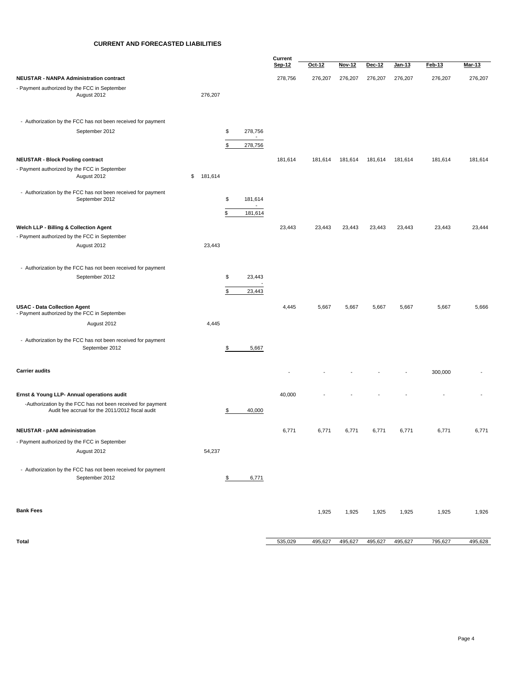#### **CURRENT AND FORECASTED LIABILITIES**

|                                                                                     |    |         |    | Current                             |         |         |         |         |               |         |         |
|-------------------------------------------------------------------------------------|----|---------|----|-------------------------------------|---------|---------|---------|---------|---------------|---------|---------|
|                                                                                     |    |         |    |                                     | Sep-12  | Oct-12  | Nov-12  | Dec-12  | <u>Jan-13</u> | Feb-13  | Mar-13  |
| <b>NEUSTAR - NANPA Administration contract</b>                                      |    |         |    |                                     | 278,756 | 276,207 | 276,207 | 276,207 | 276,207       | 276,207 | 276,207 |
| - Payment authorized by the FCC in September<br>August 2012                         |    | 276,207 |    |                                     |         |         |         |         |               |         |         |
| - Authorization by the FCC has not been received for payment                        |    |         |    |                                     |         |         |         |         |               |         |         |
| September 2012                                                                      |    |         | \$ | 278,756<br>$\sim$                   |         |         |         |         |               |         |         |
|                                                                                     |    |         | \$ | 278,756                             |         |         |         |         |               |         |         |
| <b>NEUSTAR - Block Pooling contract</b>                                             |    |         |    |                                     | 181,614 | 181,614 | 181,614 | 181,614 | 181,614       | 181,614 | 181,614 |
| - Payment authorized by the FCC in September<br>August 2012                         | \$ | 181,614 |    |                                     |         |         |         |         |               |         |         |
| - Authorization by the FCC has not been received for payment                        |    |         |    |                                     |         |         |         |         |               |         |         |
| September 2012                                                                      |    |         | \$ | 181,614<br>$\overline{\phantom{a}}$ |         |         |         |         |               |         |         |
|                                                                                     |    |         | \$ | 181,614                             |         |         |         |         |               |         |         |
| Welch LLP - Billing & Collection Agent                                              |    |         |    |                                     | 23,443  | 23,443  | 23,443  | 23,443  | 23,443        | 23,443  | 23,444  |
| - Payment authorized by the FCC in September                                        |    |         |    |                                     |         |         |         |         |               |         |         |
| August 2012                                                                         |    | 23,443  |    |                                     |         |         |         |         |               |         |         |
| - Authorization by the FCC has not been received for payment                        |    |         |    |                                     |         |         |         |         |               |         |         |
| September 2012                                                                      |    |         | \$ | 23,443                              |         |         |         |         |               |         |         |
|                                                                                     |    |         | \$ | 23,443                              |         |         |         |         |               |         |         |
|                                                                                     |    |         |    |                                     |         |         |         |         |               |         |         |
| <b>USAC - Data Collection Agent</b><br>- Payment authorized by the FCC in September |    |         |    |                                     | 4,445   | 5,667   | 5,667   | 5,667   | 5,667         | 5,667   | 5,666   |
| August 2012                                                                         |    | 4,445   |    |                                     |         |         |         |         |               |         |         |
|                                                                                     |    |         |    |                                     |         |         |         |         |               |         |         |
| - Authorization by the FCC has not been received for payment<br>September 2012      |    |         | \$ | 5,667                               |         |         |         |         |               |         |         |
| <b>Carrier audits</b>                                                               |    |         |    |                                     |         |         |         |         |               | 300,000 |         |
| Ernst & Young LLP- Annual operations audit                                          |    |         |    |                                     | 40,000  |         |         |         |               |         |         |
| -Authorization by the FCC has not been received for payment                         |    |         |    |                                     |         |         |         |         |               |         |         |
| Audit fee accrual for the 2011/2012 fiscal audit                                    |    |         | \$ | 40,000                              |         |         |         |         |               |         |         |
| <b>NEUSTAR - pANI administration</b>                                                |    |         |    |                                     | 6,771   | 6,771   | 6,771   | 6,771   | 6,771         | 6,771   | 6,771   |
| - Payment authorized by the FCC in September                                        |    |         |    |                                     |         |         |         |         |               |         |         |
| August 2012                                                                         |    | 54,237  |    |                                     |         |         |         |         |               |         |         |
| - Authorization by the FCC has not been received for payment<br>September 2012      |    |         | \$ | 6,771                               |         |         |         |         |               |         |         |
|                                                                                     |    |         |    |                                     |         |         |         |         |               |         |         |
| <b>Bank Fees</b>                                                                    |    |         |    |                                     |         | 1,925   | 1,925   | 1,925   | 1,925         | 1,925   | 1,926   |
|                                                                                     |    |         |    |                                     |         |         |         |         |               |         |         |
| Total                                                                               |    |         |    |                                     | 535,029 | 495,627 | 495,627 | 495,627 | 495,627       | 795,627 | 495,628 |